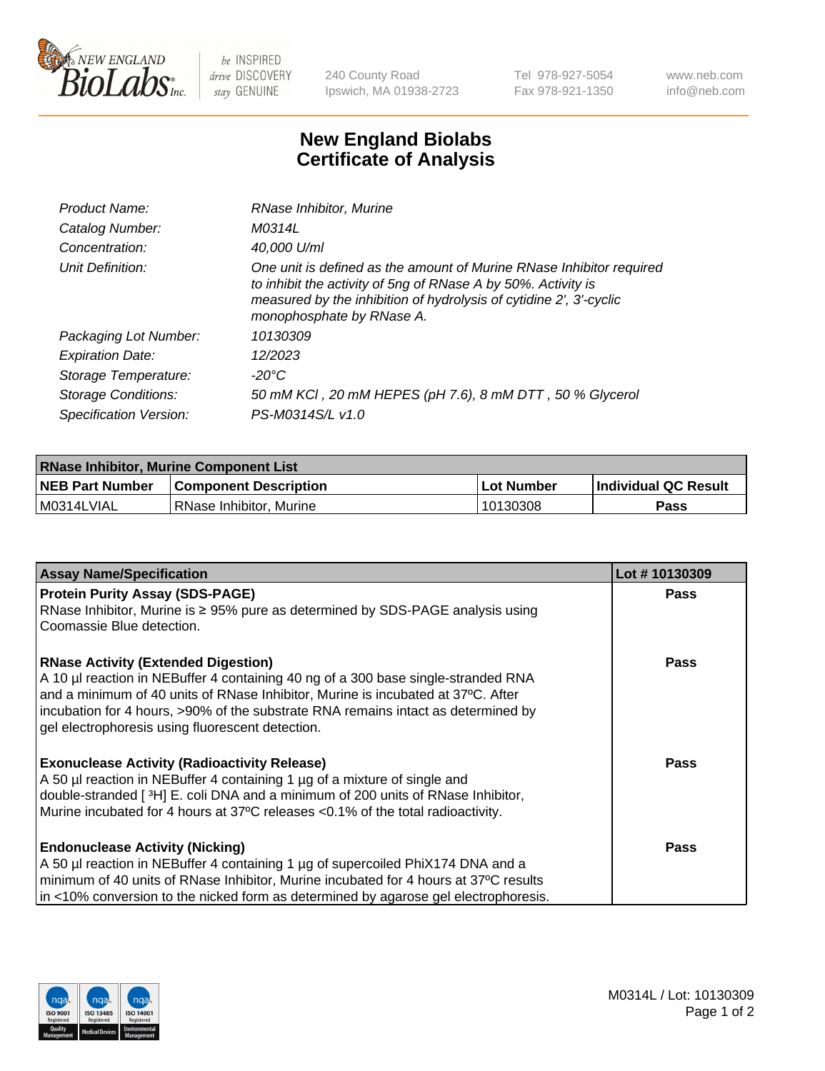

 $be$  INSPIRED drive DISCOVERY stay GENUINE

240 County Road Ipswich, MA 01938-2723 Tel 978-927-5054 Fax 978-921-1350 www.neb.com info@neb.com

## **New England Biolabs Certificate of Analysis**

| Product Name:              | RNase Inhibitor, Murine                                                                                                                                                                                                                  |
|----------------------------|------------------------------------------------------------------------------------------------------------------------------------------------------------------------------------------------------------------------------------------|
| Catalog Number:            | M0314L                                                                                                                                                                                                                                   |
| Concentration:             | 40,000 U/ml                                                                                                                                                                                                                              |
| Unit Definition:           | One unit is defined as the amount of Murine RNase Inhibitor required<br>to inhibit the activity of 5ng of RNase A by 50%. Activity is<br>measured by the inhibition of hydrolysis of cytidine 2', 3'-cyclic<br>monophosphate by RNase A. |
| Packaging Lot Number:      | 10130309                                                                                                                                                                                                                                 |
| <b>Expiration Date:</b>    | 12/2023                                                                                                                                                                                                                                  |
| Storage Temperature:       | $-20^{\circ}$ C                                                                                                                                                                                                                          |
| <b>Storage Conditions:</b> | 50 mM KCI, 20 mM HEPES (pH 7.6), 8 mM DTT, 50 % Glycerol                                                                                                                                                                                 |
| Specification Version:     | PS-M0314S/L v1.0                                                                                                                                                                                                                         |

| <b>RNase Inhibitor, Murine Component List</b> |                              |              |                             |  |
|-----------------------------------------------|------------------------------|--------------|-----------------------------|--|
| <b>NEB Part Number</b>                        | <b>Component Description</b> | l Lot Number | <b>Individual QC Result</b> |  |
| M0314LVIAL                                    | l RNase Inhibitor. Murine    | 10130308     | Pass                        |  |

| <b>Assay Name/Specification</b>                                                                                                 | Lot #10130309 |
|---------------------------------------------------------------------------------------------------------------------------------|---------------|
| <b>Protein Purity Assay (SDS-PAGE)</b>                                                                                          | <b>Pass</b>   |
| RNase Inhibitor, Murine is ≥ 95% pure as determined by SDS-PAGE analysis using                                                  |               |
| Coomassie Blue detection.                                                                                                       |               |
| <b>RNase Activity (Extended Digestion)</b><br>A 10 µl reaction in NEBuffer 4 containing 40 ng of a 300 base single-stranded RNA | <b>Pass</b>   |
| and a minimum of 40 units of RNase Inhibitor, Murine is incubated at 37°C. After                                                |               |
| incubation for 4 hours, >90% of the substrate RNA remains intact as determined by                                               |               |
| gel electrophoresis using fluorescent detection.                                                                                |               |
| <b>Exonuclease Activity (Radioactivity Release)</b>                                                                             | <b>Pass</b>   |
| A 50 µl reaction in NEBuffer 4 containing 1 µg of a mixture of single and                                                       |               |
| double-stranded [3H] E. coli DNA and a minimum of 200 units of RNase Inhibitor,                                                 |               |
| Murine incubated for 4 hours at 37°C releases <0.1% of the total radioactivity.                                                 |               |
| <b>Endonuclease Activity (Nicking)</b>                                                                                          | <b>Pass</b>   |
| A 50 µl reaction in NEBuffer 4 containing 1 µg of supercoiled PhiX174 DNA and a                                                 |               |
| minimum of 40 units of RNase Inhibitor, Murine incubated for 4 hours at 37°C results                                            |               |
| in <10% conversion to the nicked form as determined by agarose gel electrophoresis.                                             |               |